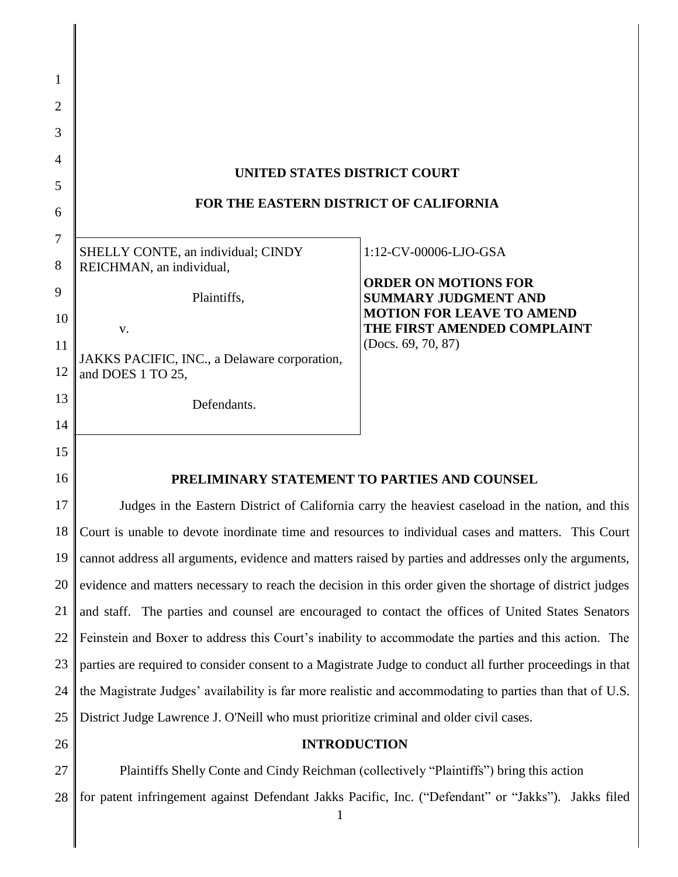| $\mathbf{1}$   |                                                                                                           |                                                            |  |
|----------------|-----------------------------------------------------------------------------------------------------------|------------------------------------------------------------|--|
| $\overline{2}$ |                                                                                                           |                                                            |  |
| 3              |                                                                                                           |                                                            |  |
| $\overline{4}$ |                                                                                                           |                                                            |  |
| 5              | UNITED STATES DISTRICT COURT                                                                              |                                                            |  |
| 6              | FOR THE EASTERN DISTRICT OF CALIFORNIA                                                                    |                                                            |  |
| 7              |                                                                                                           |                                                            |  |
| 8              | SHELLY CONTE, an individual; CINDY<br>REICHMAN, an individual,                                            | 1:12-CV-00006-LJO-GSA                                      |  |
| 9              |                                                                                                           | <b>ORDER ON MOTIONS FOR</b><br><b>SUMMARY JUDGMENT AND</b> |  |
| 10             | Plaintiffs,                                                                                               | <b>MOTION FOR LEAVE TO AMEND</b>                           |  |
| 11             | V.                                                                                                        | THE FIRST AMENDED COMPLAINT<br>(Docs. 69, 70, 87)          |  |
| 12             | JAKKS PACIFIC, INC., a Delaware corporation,<br>and DOES 1 TO 25,                                         |                                                            |  |
| 13             |                                                                                                           |                                                            |  |
| 14             | Defendants.                                                                                               |                                                            |  |
| 15             |                                                                                                           |                                                            |  |
| 16             | PRELIMINARY STATEMENT TO PARTIES AND COUNSEL                                                              |                                                            |  |
| 17             | Judges in the Eastern District of California carry the heaviest caseload in the nation, and this          |                                                            |  |
| 18             | Court is unable to devote inordinate time and resources to individual cases and matters. This Court       |                                                            |  |
| 19             | cannot address all arguments, evidence and matters raised by parties and addresses only the arguments,    |                                                            |  |
| 20             | evidence and matters necessary to reach the decision in this order given the shortage of district judges  |                                                            |  |
| 21             | and staff. The parties and counsel are encouraged to contact the offices of United States Senators        |                                                            |  |
| 22             | Feinstein and Boxer to address this Court's inability to accommodate the parties and this action. The     |                                                            |  |
| 23             | parties are required to consider consent to a Magistrate Judge to conduct all further proceedings in that |                                                            |  |
| 24             | the Magistrate Judges' availability is far more realistic and accommodating to parties than that of U.S.  |                                                            |  |
| 25             | District Judge Lawrence J. O'Neill who must prioritize criminal and older civil cases.                    |                                                            |  |
| 26             | <b>INTRODUCTION</b>                                                                                       |                                                            |  |
| 27             | Plaintiffs Shelly Conte and Cindy Reichman (collectively "Plaintiffs") bring this action                  |                                                            |  |
| 28             | for patent infringement against Defendant Jakks Pacific, Inc. ("Defendant" or "Jakks"). Jakks filed       |                                                            |  |

║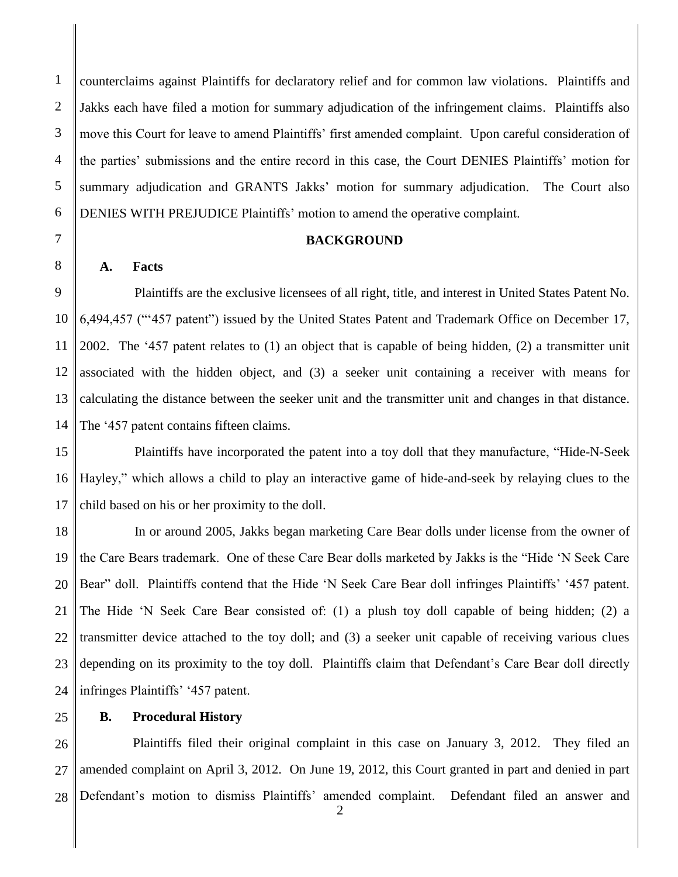2 3 4 5 6 counterclaims against Plaintiffs for declaratory relief and for common law violations. Plaintiffs and Jakks each have filed a motion for summary adjudication of the infringement claims. Plaintiffs also move this Court for leave to amend Plaintiffs' first amended complaint. Upon careful consideration of the parties' submissions and the entire record in this case, the Court DENIES Plaintiffs' motion for summary adjudication and GRANTS Jakks' motion for summary adjudication. The Court also DENIES WITH PREJUDICE Plaintiffs' motion to amend the operative complaint.

## **BACKGROUND**

#### **A. Facts**

9 10 11 12 13 14 Plaintiffs are the exclusive licensees of all right, title, and interest in United States Patent No. 6,494,457 ("'457 patent") issued by the United States Patent and Trademark Office on December 17, 2002. The '457 patent relates to (1) an object that is capable of being hidden, (2) a transmitter unit associated with the hidden object, and (3) a seeker unit containing a receiver with means for calculating the distance between the seeker unit and the transmitter unit and changes in that distance. The '457 patent contains fifteen claims.

15 16 17 Plaintiffs have incorporated the patent into a toy doll that they manufacture, "Hide-N-Seek Hayley," which allows a child to play an interactive game of hide-and-seek by relaying clues to the child based on his or her proximity to the doll.

18 19 20 21 22 23 24 In or around 2005, Jakks began marketing Care Bear dolls under license from the owner of the Care Bears trademark. One of these Care Bear dolls marketed by Jakks is the "Hide 'N Seek Care Bear" doll. Plaintiffs contend that the Hide 'N Seek Care Bear doll infringes Plaintiffs' '457 patent. The Hide 'N Seek Care Bear consisted of: (1) a plush toy doll capable of being hidden; (2) a transmitter device attached to the toy doll; and (3) a seeker unit capable of receiving various clues depending on its proximity to the toy doll. Plaintiffs claim that Defendant's Care Bear doll directly infringes Plaintiffs' '457 patent.

25

## **B. Procedural History**

26 27 28 Plaintiffs filed their original complaint in this case on January 3, 2012. They filed an amended complaint on April 3, 2012. On June 19, 2012, this Court granted in part and denied in part Defendant's motion to dismiss Plaintiffs' amended complaint. Defendant filed an answer and

1

7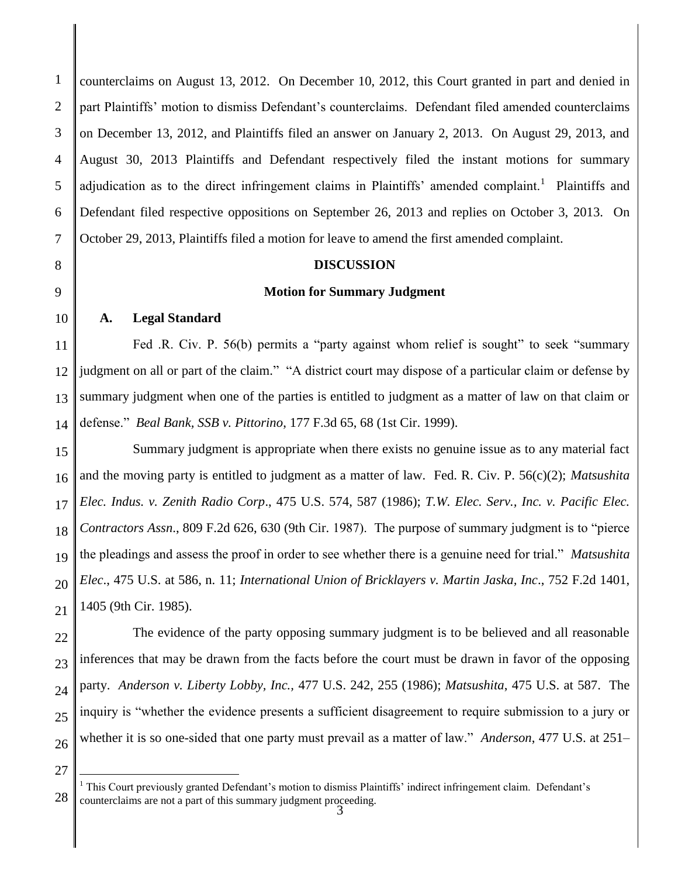1 2 3 4 5 6 7 counterclaims on August 13, 2012. On December 10, 2012, this Court granted in part and denied in part Plaintiffs' motion to dismiss Defendant's counterclaims. Defendant filed amended counterclaims on December 13, 2012, and Plaintiffs filed an answer on January 2, 2013. On August 29, 2013, and August 30, 2013 Plaintiffs and Defendant respectively filed the instant motions for summary adjudication as to the direct infringement claims in Plaintiffs' amended complaint.<sup>1</sup> Plaintiffs and Defendant filed respective oppositions on September 26, 2013 and replies on October 3, 2013. On October 29, 2013, Plaintiffs filed a motion for leave to amend the first amended complaint.

# **DISCUSSION**

# **Motion for Summary Judgment**

# **A. Legal Standard**

11 12 13 14 Fed .R. Civ. P. 56(b) permits a "party against whom relief is sought" to seek "summary judgment on all or part of the claim." "A district court may dispose of a particular claim or defense by summary judgment when one of the parties is entitled to judgment as a matter of law on that claim or defense." *Beal Bank, SSB v. Pittorino*, 177 F.3d 65, 68 (1st Cir. 1999).

15 16 17 18 19 20 21 Summary judgment is appropriate when there exists no genuine issue as to any material fact and the moving party is entitled to judgment as a matter of law. Fed. R. Civ. P. 56(c)(2); *Matsushita Elec. Indus. v. Zenith Radio Corp*., 475 U.S. 574, 587 (1986); *T.W. Elec. Serv., Inc. v. Pacific Elec. Contractors Assn*., 809 F.2d 626, 630 (9th Cir. 1987). The purpose of summary judgment is to "pierce the pleadings and assess the proof in order to see whether there is a genuine need for trial." *Matsushita Elec*., 475 U.S. at 586, n. 11; *International Union of Bricklayers v. Martin Jaska, Inc*., 752 F.2d 1401, 1405 (9th Cir. 1985).

22 23 The evidence of the party opposing summary judgment is to be believed and all reasonable inferences that may be drawn from the facts before the court must be drawn in favor of the opposing party. *Anderson v. Liberty Lobby, Inc.,* 477 U.S. 242, 255 (1986); *Matsushita*, 475 U.S. at 587. The inquiry is "whether the evidence presents a sufficient disagreement to require submission to a jury or whether it is so one-sided that one party must prevail as a matter of law." *Anderson*, 477 U.S. at 251–

 $\overline{a}$ 

8

9

<sup>28</sup>  $<sup>1</sup>$  This Court previously granted Defendant's motion to dismiss Plaintiffs' indirect infringement claim. Defendant's</sup> counterclaims are not a part of this summary judgment proceeding.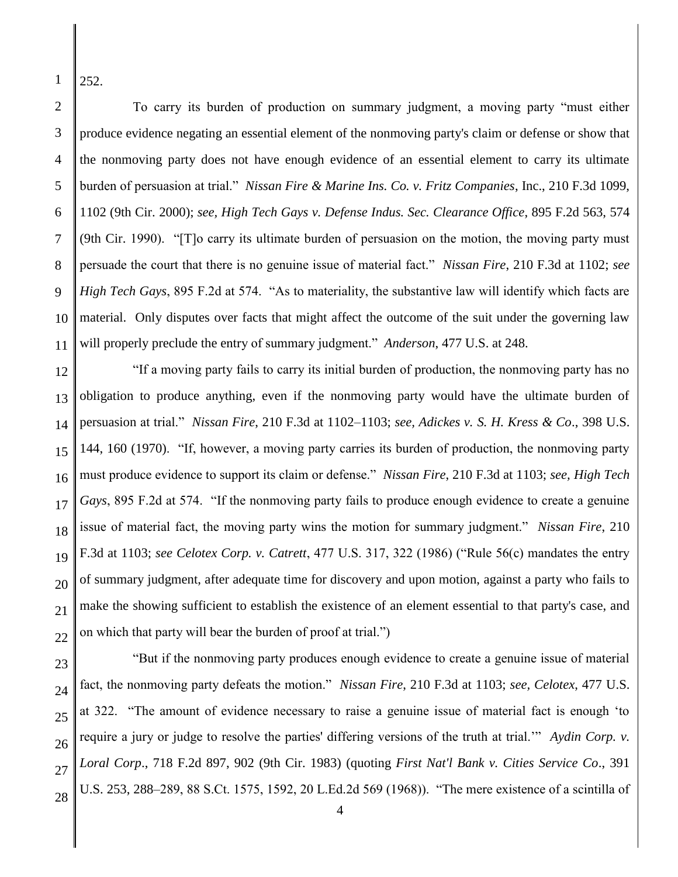1 252.

2

3

4

5

6

7

8

9

10 11 To carry its burden of production on summary judgment, a moving party "must either produce evidence negating an essential element of the nonmoving party's claim or defense or show that the nonmoving party does not have enough evidence of an essential element to carry its ultimate burden of persuasion at trial." *Nissan Fire & Marine Ins. Co. v. Fritz Companies*, Inc., 210 F.3d 1099, 1102 (9th Cir. 2000); *see, High Tech Gays v. Defense Indus. Sec. Clearance Office*, 895 F.2d 563, 574 (9th Cir. 1990). "[T]o carry its ultimate burden of persuasion on the motion, the moving party must persuade the court that there is no genuine issue of material fact." *Nissan Fire*, 210 F.3d at 1102; *see High Tech Gays*, 895 F.2d at 574. "As to materiality, the substantive law will identify which facts are material. Only disputes over facts that might affect the outcome of the suit under the governing law will properly preclude the entry of summary judgment." *Anderson*, 477 U.S. at 248.

12 13 14 15 16 17 18 19 20 21 22 "If a moving party fails to carry its initial burden of production, the nonmoving party has no obligation to produce anything, even if the nonmoving party would have the ultimate burden of persuasion at trial." *Nissan Fire*, 210 F.3d at 1102–1103; *see, Adickes v. S. H. Kress & Co*., 398 U.S. 144, 160 (1970). "If, however, a moving party carries its burden of production, the nonmoving party must produce evidence to support its claim or defense." *Nissan Fire*, 210 F.3d at 1103; *see, High Tech Gays*, 895 F.2d at 574. "If the nonmoving party fails to produce enough evidence to create a genuine issue of material fact, the moving party wins the motion for summary judgment." *Nissan Fire*, 210 F.3d at 1103; *see Celotex Corp. v. Catrett*, 477 U.S. 317, 322 (1986) ("Rule 56(c) mandates the entry of summary judgment, after adequate time for discovery and upon motion, against a party who fails to make the showing sufficient to establish the existence of an element essential to that party's case, and on which that party will bear the burden of proof at trial.")

23 24 25 26 27 28 "But if the nonmoving party produces enough evidence to create a genuine issue of material fact, the nonmoving party defeats the motion." *Nissan Fire*, 210 F.3d at 1103; *see, Celotex*, 477 U.S. at 322. "The amount of evidence necessary to raise a genuine issue of material fact is enough 'to require a jury or judge to resolve the parties' differing versions of the truth at trial.'" *Aydin Corp. v. Loral Corp*., 718 F.2d 897, 902 (9th Cir. 1983) (quoting *First Nat'l Bank v. Cities Service Co*., 391 U.S. 253, 288–289, 88 S.Ct. 1575, 1592, 20 L.Ed.2d 569 (1968)). "The mere existence of a scintilla of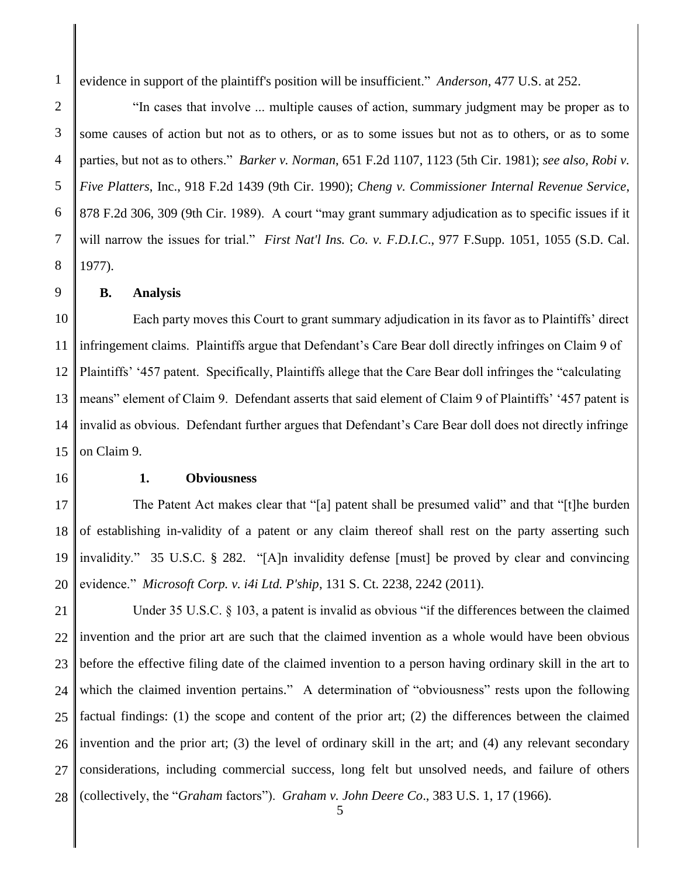evidence in support of the plaintiff's position will be insufficient." *Anderson*, 477 U.S. at 252.

"In cases that involve ... multiple causes of action, summary judgment may be proper as to some causes of action but not as to others, or as to some issues but not as to others, or as to some parties, but not as to others." *Barker v. Norman*, 651 F.2d 1107, 1123 (5th Cir. 1981); *see also, Robi v. Five Platters*, Inc., 918 F.2d 1439 (9th Cir. 1990); *Cheng v. Commissioner Internal Revenue Service*, 878 F.2d 306, 309 (9th Cir. 1989). A court "may grant summary adjudication as to specific issues if it will narrow the issues for trial." *First Nat'l Ins. Co. v. F.D.I.C*., 977 F.Supp. 1051, 1055 (S.D. Cal. 1977).

**B. Analysis**

10 11 12 13 14 15 Each party moves this Court to grant summary adjudication in its favor as to Plaintiffs' direct infringement claims. Plaintiffs argue that Defendant's Care Bear doll directly infringes on Claim 9 of Plaintiffs' '457 patent. Specifically, Plaintiffs allege that the Care Bear doll infringes the "calculating means" element of Claim 9. Defendant asserts that said element of Claim 9 of Plaintiffs' '457 patent is invalid as obvious. Defendant further argues that Defendant's Care Bear doll does not directly infringe on Claim 9.

16

## **1. Obviousness**

17 18 19 20 The Patent Act makes clear that "[a] patent shall be presumed valid" and that "[t]he burden of establishing in-validity of a patent or any claim thereof shall rest on the party asserting such invalidity." 35 U.S.C. § 282. "[A]n invalidity defense [must] be proved by clear and convincing evidence." *Microsoft Corp. v. i4i Ltd. P'ship*, 131 S. Ct. 2238, 2242 (2011).

21 22 23 24 25 26 27 28 5 Under 35 U.S.C. § 103, a patent is invalid as obvious "if the differences between the claimed invention and the prior art are such that the claimed invention as a whole would have been obvious before the effective filing date of the claimed invention to a person having ordinary skill in the art to which the claimed invention pertains." A determination of "obviousness" rests upon the following factual findings: (1) the scope and content of the prior art; (2) the differences between the claimed invention and the prior art; (3) the level of ordinary skill in the art; and (4) any relevant secondary considerations, including commercial success, long felt but unsolved needs, and failure of others (collectively, the "*Graham* factors"). *Graham v. John Deere Co*., 383 U.S. 1, 17 (1966).

3

4

5

6

7

8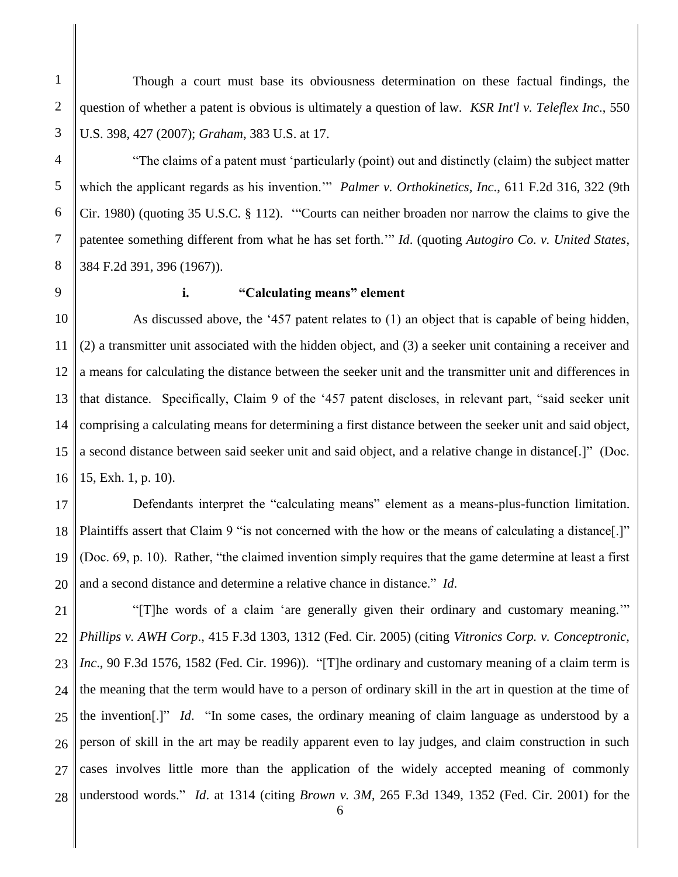Though a court must base its obviousness determination on these factual findings, the question of whether a patent is obvious is ultimately a question of law. *KSR Int'l v. Teleflex Inc*., 550 U.S. 398, 427 (2007); *Graham*, 383 U.S. at 17.

"The claims of a patent must 'particularly (point) out and distinctly (claim) the subject matter which the applicant regards as his invention.'" *Palmer v. Orthokinetics, Inc*., 611 F.2d 316, 322 (9th Cir. 1980) (quoting 35 U.S.C. § 112). '"Courts can neither broaden nor narrow the claims to give the patentee something different from what he has set forth.'" *Id*. (quoting *Autogiro Co. v. United States*, 384 F.2d 391, 396 (1967)).

9

# **i. "Calculating means" element**

10 11 12 13 14 15 16 As discussed above, the '457 patent relates to (1) an object that is capable of being hidden, (2) a transmitter unit associated with the hidden object, and (3) a seeker unit containing a receiver and a means for calculating the distance between the seeker unit and the transmitter unit and differences in that distance. Specifically, Claim 9 of the '457 patent discloses, in relevant part, "said seeker unit comprising a calculating means for determining a first distance between the seeker unit and said object, a second distance between said seeker unit and said object, and a relative change in distance[.]" (Doc. 15, Exh. 1, p. 10).

17 18 19 20 Defendants interpret the "calculating means" element as a means-plus-function limitation. Plaintiffs assert that Claim 9 "is not concerned with the how or the means of calculating a distance[.]" (Doc. 69, p. 10). Rather, "the claimed invention simply requires that the game determine at least a first and a second distance and determine a relative chance in distance." *Id*.

21 22 23 24 25 26 27 28 "[T]he words of a claim 'are generally given their ordinary and customary meaning.'" *Phillips v. AWH Corp*., 415 F.3d 1303, 1312 (Fed. Cir. 2005) (citing *Vitronics Corp. v. Conceptronic, Inc*., 90 F.3d 1576, 1582 (Fed. Cir. 1996)). "[T]he ordinary and customary meaning of a claim term is the meaning that the term would have to a person of ordinary skill in the art in question at the time of the invention[.]" *Id*. "In some cases, the ordinary meaning of claim language as understood by a person of skill in the art may be readily apparent even to lay judges, and claim construction in such cases involves little more than the application of the widely accepted meaning of commonly understood words." *Id*. at 1314 (citing *Brown v. 3M*, 265 F.3d 1349, 1352 (Fed. Cir. 2001) for the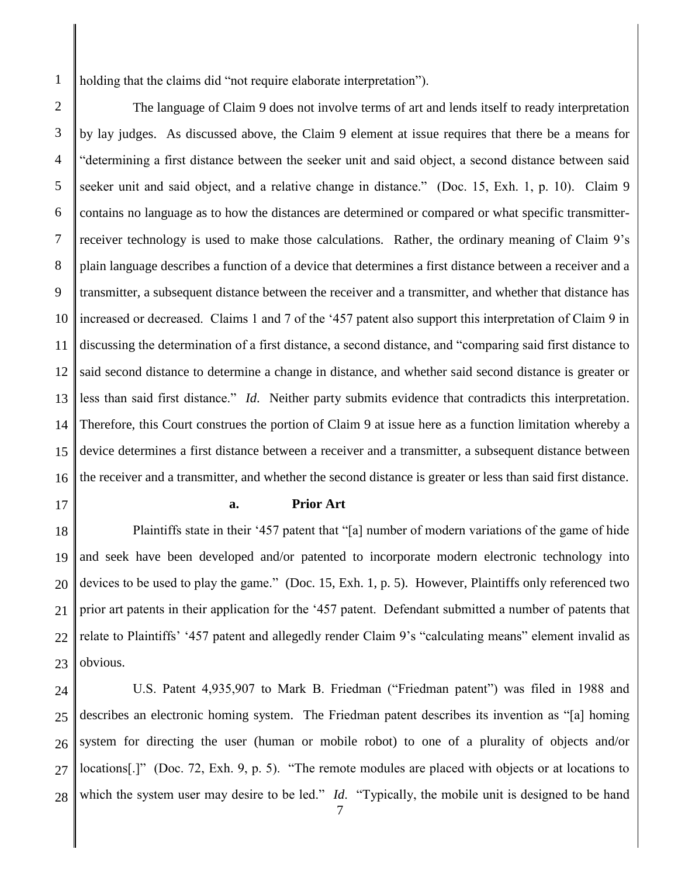1 holding that the claims did "not require elaborate interpretation").

2 3 4 5 6 7 8 9 10 11 12 13 14 15 16 The language of Claim 9 does not involve terms of art and lends itself to ready interpretation by lay judges. As discussed above, the Claim 9 element at issue requires that there be a means for "determining a first distance between the seeker unit and said object, a second distance between said seeker unit and said object, and a relative change in distance." (Doc. 15, Exh. 1, p. 10). Claim 9 contains no language as to how the distances are determined or compared or what specific transmitterreceiver technology is used to make those calculations. Rather, the ordinary meaning of Claim 9's plain language describes a function of a device that determines a first distance between a receiver and a transmitter, a subsequent distance between the receiver and a transmitter, and whether that distance has increased or decreased. Claims 1 and 7 of the '457 patent also support this interpretation of Claim 9 in discussing the determination of a first distance, a second distance, and "comparing said first distance to said second distance to determine a change in distance, and whether said second distance is greater or less than said first distance." *Id*. Neither party submits evidence that contradicts this interpretation. Therefore, this Court construes the portion of Claim 9 at issue here as a function limitation whereby a device determines a first distance between a receiver and a transmitter, a subsequent distance between the receiver and a transmitter, and whether the second distance is greater or less than said first distance.

17

#### **a. Prior Art**

18 19 20 21 22 23 Plaintiffs state in their '457 patent that "[a] number of modern variations of the game of hide and seek have been developed and/or patented to incorporate modern electronic technology into devices to be used to play the game." (Doc. 15, Exh. 1, p. 5). However, Plaintiffs only referenced two prior art patents in their application for the '457 patent. Defendant submitted a number of patents that relate to Plaintiffs' '457 patent and allegedly render Claim 9's "calculating means" element invalid as obvious.

24 25 26 27 28 U.S. Patent 4,935,907 to Mark B. Friedman ("Friedman patent") was filed in 1988 and describes an electronic homing system. The Friedman patent describes its invention as "[a] homing system for directing the user (human or mobile robot) to one of a plurality of objects and/or locations[.]" (Doc. 72, Exh. 9, p. 5). "The remote modules are placed with objects or at locations to which the system user may desire to be led." *Id*. "Typically, the mobile unit is designed to be hand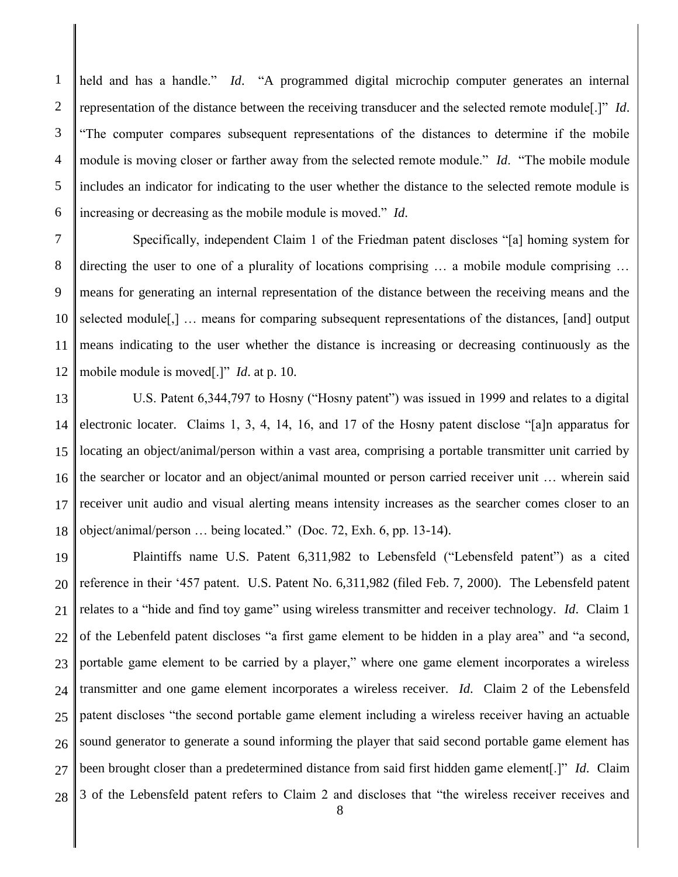1 2 3 4 5 6 held and has a handle." *Id*. "A programmed digital microchip computer generates an internal representation of the distance between the receiving transducer and the selected remote module[.]" *Id*. "The computer compares subsequent representations of the distances to determine if the mobile module is moving closer or farther away from the selected remote module." *Id*. "The mobile module includes an indicator for indicating to the user whether the distance to the selected remote module is increasing or decreasing as the mobile module is moved." *Id*.

7 8 9 10 11 12 Specifically, independent Claim 1 of the Friedman patent discloses "[a] homing system for directing the user to one of a plurality of locations comprising … a mobile module comprising … means for generating an internal representation of the distance between the receiving means and the selected module[,] … means for comparing subsequent representations of the distances, [and] output means indicating to the user whether the distance is increasing or decreasing continuously as the mobile module is moved[.]" *Id*. at p. 10.

13 14 15 16 17 18 U.S. Patent 6,344,797 to Hosny ("Hosny patent") was issued in 1999 and relates to a digital electronic locater. Claims 1, 3, 4, 14, 16, and 17 of the Hosny patent disclose "[a]n apparatus for locating an object/animal/person within a vast area, comprising a portable transmitter unit carried by the searcher or locator and an object/animal mounted or person carried receiver unit … wherein said receiver unit audio and visual alerting means intensity increases as the searcher comes closer to an object/animal/person … being located." (Doc. 72, Exh. 6, pp. 13-14).

19 20 21 22 23 24 25 26 27 28 Plaintiffs name U.S. Patent 6,311,982 to Lebensfeld ("Lebensfeld patent") as a cited reference in their '457 patent. U.S. Patent No. 6,311,982 (filed Feb. 7, 2000). The Lebensfeld patent relates to a "hide and find toy game" using wireless transmitter and receiver technology. *Id*. Claim 1 of the Lebenfeld patent discloses "a first game element to be hidden in a play area" and "a second, portable game element to be carried by a player," where one game element incorporates a wireless transmitter and one game element incorporates a wireless receiver. *Id*. Claim 2 of the Lebensfeld patent discloses "the second portable game element including a wireless receiver having an actuable sound generator to generate a sound informing the player that said second portable game element has been brought closer than a predetermined distance from said first hidden game element[.]" *Id*. Claim 3 of the Lebensfeld patent refers to Claim 2 and discloses that "the wireless receiver receives and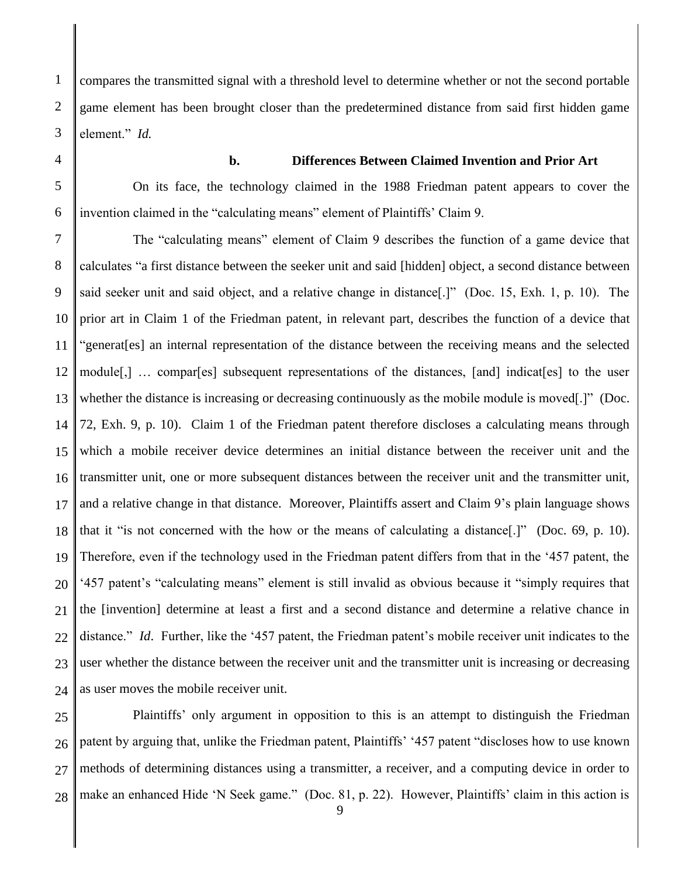compares the transmitted signal with a threshold level to determine whether or not the second portable game element has been brought closer than the predetermined distance from said first hidden game element." *Id.*

1

2

**b. Differences Between Claimed Invention and Prior Art**

On its face, the technology claimed in the 1988 Friedman patent appears to cover the invention claimed in the "calculating means" element of Plaintiffs' Claim 9.

10 11 12 13 14 15 16 17 18 19 20 21 22 23 24 The "calculating means" element of Claim 9 describes the function of a game device that calculates "a first distance between the seeker unit and said [hidden] object, a second distance between said seeker unit and said object, and a relative change in distance[.]" (Doc. 15, Exh. 1, p. 10). The prior art in Claim 1 of the Friedman patent, in relevant part, describes the function of a device that "generat[es] an internal representation of the distance between the receiving means and the selected module[,] … compar[es] subsequent representations of the distances, [and] indicat[es] to the user whether the distance is increasing or decreasing continuously as the mobile module is moved[.]" (Doc. 72, Exh. 9, p. 10). Claim 1 of the Friedman patent therefore discloses a calculating means through which a mobile receiver device determines an initial distance between the receiver unit and the transmitter unit, one or more subsequent distances between the receiver unit and the transmitter unit, and a relative change in that distance. Moreover, Plaintiffs assert and Claim 9's plain language shows that it "is not concerned with the how or the means of calculating a distance[.]" (Doc. 69, p. 10). Therefore, even if the technology used in the Friedman patent differs from that in the '457 patent, the '457 patent's "calculating means" element is still invalid as obvious because it "simply requires that the [invention] determine at least a first and a second distance and determine a relative chance in distance." *Id*. Further, like the '457 patent, the Friedman patent's mobile receiver unit indicates to the user whether the distance between the receiver unit and the transmitter unit is increasing or decreasing as user moves the mobile receiver unit.

25 26 27 28 Plaintiffs' only argument in opposition to this is an attempt to distinguish the Friedman patent by arguing that, unlike the Friedman patent, Plaintiffs' '457 patent "discloses how to use known methods of determining distances using a transmitter, a receiver, and a computing device in order to make an enhanced Hide 'N Seek game." (Doc. 81, p. 22). However, Plaintiffs' claim in this action is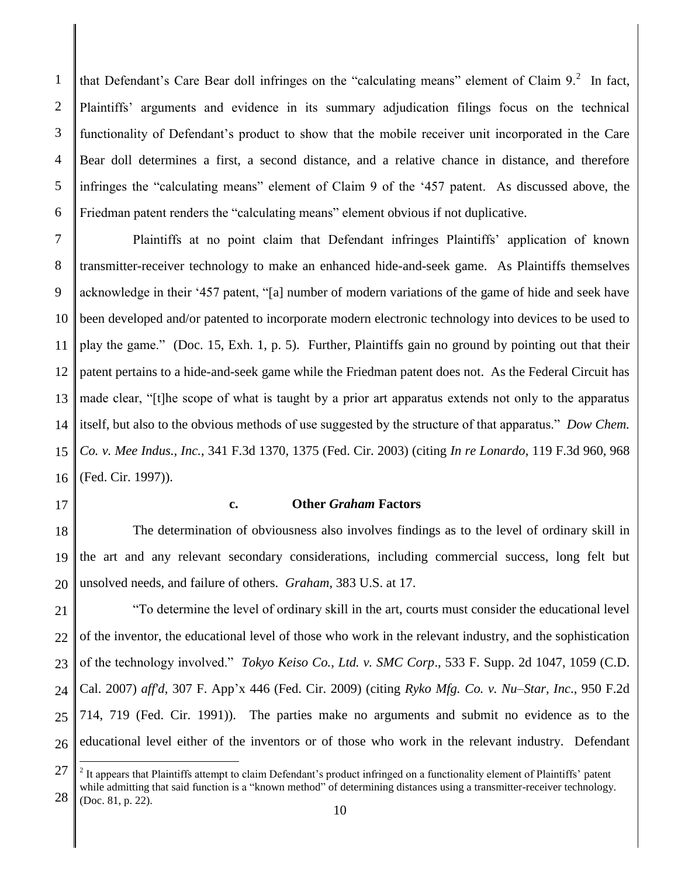1 2 3 4 5 6 that Defendant's Care Bear doll infringes on the "calculating means" element of Claim  $9$ .<sup>2</sup> In fact, Plaintiffs' arguments and evidence in its summary adjudication filings focus on the technical functionality of Defendant's product to show that the mobile receiver unit incorporated in the Care Bear doll determines a first, a second distance, and a relative chance in distance, and therefore infringes the "calculating means" element of Claim 9 of the '457 patent. As discussed above, the Friedman patent renders the "calculating means" element obvious if not duplicative.

7 8 9 10 11 12 13 14 15 16 Plaintiffs at no point claim that Defendant infringes Plaintiffs' application of known transmitter-receiver technology to make an enhanced hide-and-seek game. As Plaintiffs themselves acknowledge in their '457 patent, "[a] number of modern variations of the game of hide and seek have been developed and/or patented to incorporate modern electronic technology into devices to be used to play the game." (Doc. 15, Exh. 1, p. 5). Further, Plaintiffs gain no ground by pointing out that their patent pertains to a hide-and-seek game while the Friedman patent does not. As the Federal Circuit has made clear, "[t]he scope of what is taught by a prior art apparatus extends not only to the apparatus itself, but also to the obvious methods of use suggested by the structure of that apparatus." *Dow Chem. Co. v. Mee Indus., Inc.*, 341 F.3d 1370, 1375 (Fed. Cir. 2003) (citing *In re Lonardo*, 119 F.3d 960, 968 (Fed. Cir. 1997)).

17

 $\overline{a}$ 

# **c. Other** *Graham* **Factors**

18 19 20 The determination of obviousness also involves findings as to the level of ordinary skill in the art and any relevant secondary considerations, including commercial success, long felt but unsolved needs, and failure of others. *Graham*, 383 U.S. at 17.

21 22 23 24 25 26 "To determine the level of ordinary skill in the art, courts must consider the educational level of the inventor, the educational level of those who work in the relevant industry, and the sophistication of the technology involved." *Tokyo Keiso Co., Ltd. v. SMC Corp*., 533 F. Supp. 2d 1047, 1059 (C.D. Cal. 2007) *aff'd*, 307 F. App'x 446 (Fed. Cir. 2009) (citing *Ryko Mfg. Co. v. Nu–Star, Inc*., 950 F.2d 714, 719 (Fed. Cir. 1991)). The parties make no arguments and submit no evidence as to the educational level either of the inventors or of those who work in the relevant industry. Defendant

<sup>27</sup> 28  $2$  It appears that Plaintiffs attempt to claim Defendant's product infringed on a functionality element of Plaintiffs' patent while admitting that said function is a "known method" of determining distances using a transmitter-receiver technology. (Doc. 81, p. 22).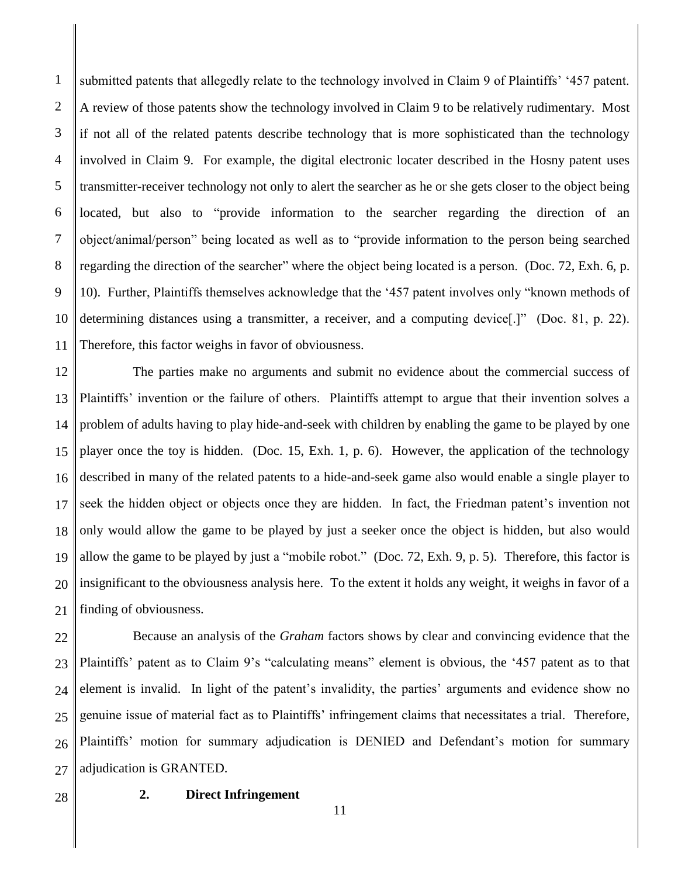1 2 3 4 5 6 7 8 9 10 11 submitted patents that allegedly relate to the technology involved in Claim 9 of Plaintiffs' '457 patent. A review of those patents show the technology involved in Claim 9 to be relatively rudimentary. Most if not all of the related patents describe technology that is more sophisticated than the technology involved in Claim 9. For example, the digital electronic locater described in the Hosny patent uses transmitter-receiver technology not only to alert the searcher as he or she gets closer to the object being located, but also to "provide information to the searcher regarding the direction of an object/animal/person" being located as well as to "provide information to the person being searched regarding the direction of the searcher" where the object being located is a person. (Doc. 72, Exh. 6, p. 10). Further, Plaintiffs themselves acknowledge that the '457 patent involves only "known methods of determining distances using a transmitter, a receiver, and a computing device. <sup>[1]</sup> (Doc. 81, p. 22). Therefore, this factor weighs in favor of obviousness.

12 13 14 15 16 17 18 19 20 21 The parties make no arguments and submit no evidence about the commercial success of Plaintiffs' invention or the failure of others. Plaintiffs attempt to argue that their invention solves a problem of adults having to play hide-and-seek with children by enabling the game to be played by one player once the toy is hidden. (Doc. 15, Exh. 1, p. 6). However, the application of the technology described in many of the related patents to a hide-and-seek game also would enable a single player to seek the hidden object or objects once they are hidden. In fact, the Friedman patent's invention not only would allow the game to be played by just a seeker once the object is hidden, but also would allow the game to be played by just a "mobile robot." (Doc. 72, Exh. 9, p. 5). Therefore, this factor is insignificant to the obviousness analysis here. To the extent it holds any weight, it weighs in favor of a finding of obviousness.

22 23 24 25 26 27 Because an analysis of the *Graham* factors shows by clear and convincing evidence that the Plaintiffs' patent as to Claim 9's "calculating means" element is obvious, the '457 patent as to that element is invalid. In light of the patent's invalidity, the parties' arguments and evidence show no genuine issue of material fact as to Plaintiffs' infringement claims that necessitates a trial. Therefore, Plaintiffs' motion for summary adjudication is DENIED and Defendant's motion for summary adjudication is GRANTED.

28

# **2. Direct Infringement**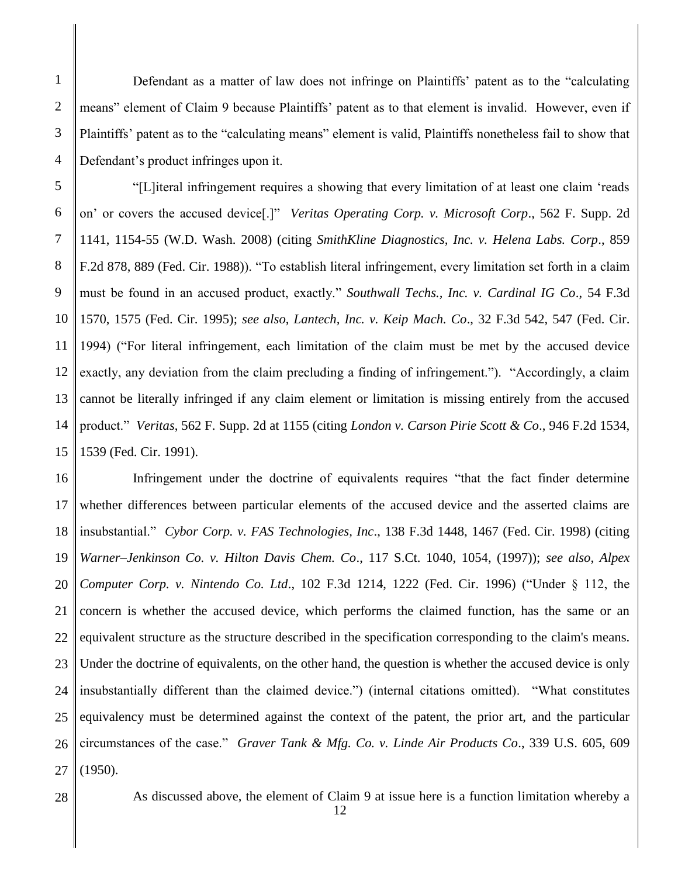Defendant as a matter of law does not infringe on Plaintiffs' patent as to the "calculating means" element of Claim 9 because Plaintiffs' patent as to that element is invalid. However, even if Plaintiffs' patent as to the "calculating means" element is valid, Plaintiffs nonetheless fail to show that Defendant's product infringes upon it.

5 6 7 8 9 10 11 12 13 14 15 "[L]iteral infringement requires a showing that every limitation of at least one claim 'reads on' or covers the accused device[.]" *Veritas Operating Corp. v. Microsoft Corp*., 562 F. Supp. 2d 1141, 1154-55 (W.D. Wash. 2008) (citing *SmithKline Diagnostics, Inc. v. Helena Labs. Corp*., 859 F.2d 878, 889 (Fed. Cir. 1988)). "To establish literal infringement, every limitation set forth in a claim must be found in an accused product, exactly." *Southwall Techs., Inc. v. Cardinal IG Co*., 54 F.3d 1570, 1575 (Fed. Cir. 1995); *see also*, *Lantech, Inc. v. Keip Mach. Co*., 32 F.3d 542, 547 (Fed. Cir. 1994) ("For literal infringement, each limitation of the claim must be met by the accused device exactly, any deviation from the claim precluding a finding of infringement."). "Accordingly, a claim cannot be literally infringed if any claim element or limitation is missing entirely from the accused product." *Veritas*, 562 F. Supp. 2d at 1155 (citing *London v. Carson Pirie Scott & Co*., 946 F.2d 1534, 1539 (Fed. Cir. 1991).

16 17 18 19 20 21 22 23 24 25 26 27 Infringement under the doctrine of equivalents requires "that the fact finder determine whether differences between particular elements of the accused device and the asserted claims are insubstantial." *Cybor Corp. v. FAS Technologies, Inc*., 138 F.3d 1448, 1467 (Fed. Cir. 1998) (citing *Warner–Jenkinson Co. v. Hilton Davis Chem. Co*., 117 S.Ct. 1040, 1054, (1997)); *see also*, *Alpex Computer Corp. v. Nintendo Co. Ltd*., 102 F.3d 1214, 1222 (Fed. Cir. 1996) ("Under § 112, the concern is whether the accused device, which performs the claimed function, has the same or an equivalent structure as the structure described in the specification corresponding to the claim's means. Under the doctrine of equivalents, on the other hand, the question is whether the accused device is only insubstantially different than the claimed device.") (internal citations omitted). "What constitutes equivalency must be determined against the context of the patent, the prior art, and the particular circumstances of the case." *Graver Tank & Mfg. Co. v. Linde Air Products Co*., 339 U.S. 605, 609 (1950).

28

1

2

3

4

As discussed above, the element of Claim 9 at issue here is a function limitation whereby a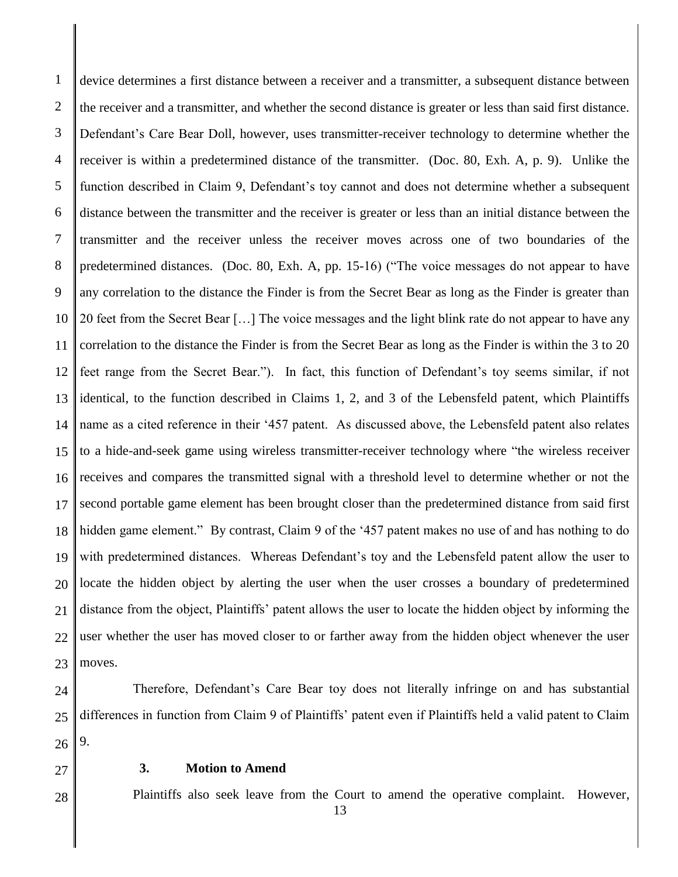1 2 3 4 5 6 7 8 9 10 11 12 13 14 15 16 17 18 19 20 21 22 23 device determines a first distance between a receiver and a transmitter, a subsequent distance between the receiver and a transmitter, and whether the second distance is greater or less than said first distance. Defendant's Care Bear Doll, however, uses transmitter-receiver technology to determine whether the receiver is within a predetermined distance of the transmitter. (Doc. 80, Exh. A, p. 9). Unlike the function described in Claim 9, Defendant's toy cannot and does not determine whether a subsequent distance between the transmitter and the receiver is greater or less than an initial distance between the transmitter and the receiver unless the receiver moves across one of two boundaries of the predetermined distances. (Doc. 80, Exh. A, pp. 15-16) ("The voice messages do not appear to have any correlation to the distance the Finder is from the Secret Bear as long as the Finder is greater than 20 feet from the Secret Bear […] The voice messages and the light blink rate do not appear to have any correlation to the distance the Finder is from the Secret Bear as long as the Finder is within the 3 to 20 feet range from the Secret Bear."). In fact, this function of Defendant's toy seems similar, if not identical, to the function described in Claims 1, 2, and 3 of the Lebensfeld patent, which Plaintiffs name as a cited reference in their '457 patent. As discussed above, the Lebensfeld patent also relates to a hide-and-seek game using wireless transmitter-receiver technology where "the wireless receiver receives and compares the transmitted signal with a threshold level to determine whether or not the second portable game element has been brought closer than the predetermined distance from said first hidden game element." By contrast, Claim 9 of the '457 patent makes no use of and has nothing to do with predetermined distances. Whereas Defendant's toy and the Lebensfeld patent allow the user to locate the hidden object by alerting the user when the user crosses a boundary of predetermined distance from the object, Plaintiffs' patent allows the user to locate the hidden object by informing the user whether the user has moved closer to or farther away from the hidden object whenever the user moves.

24 25 26 Therefore, Defendant's Care Bear toy does not literally infringe on and has substantial differences in function from Claim 9 of Plaintiffs' patent even if Plaintiffs held a valid patent to Claim 9.

27

28

# **3. Motion to Amend**

Plaintiffs also seek leave from the Court to amend the operative complaint. However,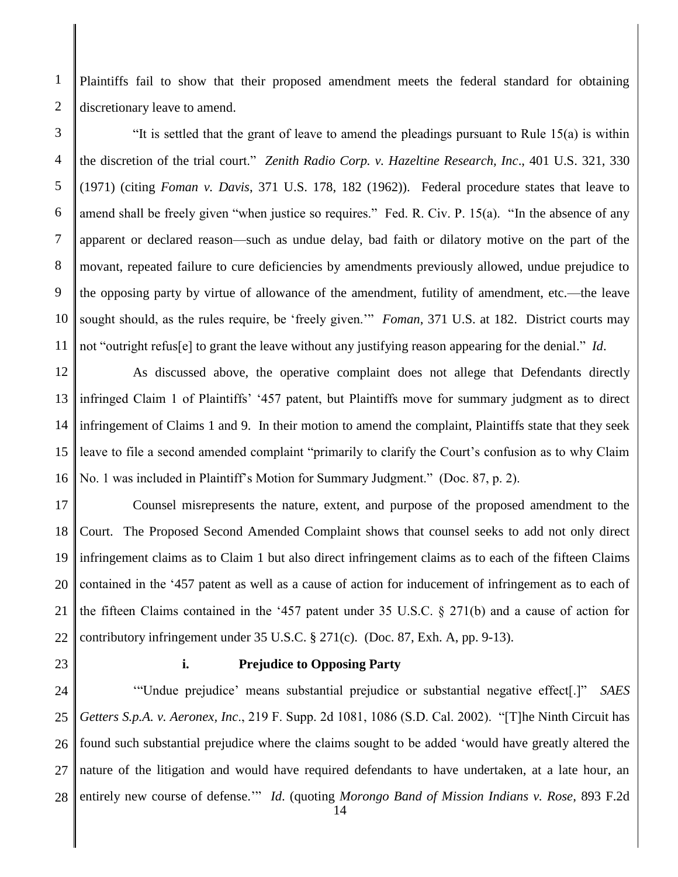Plaintiffs fail to show that their proposed amendment meets the federal standard for obtaining discretionary leave to amend.

3 4 5 6 7 8 9 10 11 "It is settled that the grant of leave to amend the pleadings pursuant to Rule 15(a) is within the discretion of the trial court." *Zenith Radio Corp. v. Hazeltine Research, Inc*., 401 U.S. 321, 330 (1971) (citing *Foman v. Davis*, 371 U.S. 178, 182 (1962)). Federal procedure states that leave to amend shall be freely given "when justice so requires." Fed. R. Civ. P. 15(a). "In the absence of any apparent or declared reason—such as undue delay, bad faith or dilatory motive on the part of the movant, repeated failure to cure deficiencies by amendments previously allowed, undue prejudice to the opposing party by virtue of allowance of the amendment, futility of amendment, etc.—the leave sought should, as the rules require, be 'freely given.'" *Foman*, 371 U.S. at 182. District courts may not "outright refus[e] to grant the leave without any justifying reason appearing for the denial." *Id*.

12 13 14 15 16 As discussed above, the operative complaint does not allege that Defendants directly infringed Claim 1 of Plaintiffs' '457 patent, but Plaintiffs move for summary judgment as to direct infringement of Claims 1 and 9. In their motion to amend the complaint, Plaintiffs state that they seek leave to file a second amended complaint "primarily to clarify the Court's confusion as to why Claim No. 1 was included in Plaintiff's Motion for Summary Judgment." (Doc. 87, p. 2).

17 18 19 20 21 22 Counsel misrepresents the nature, extent, and purpose of the proposed amendment to the Court. The Proposed Second Amended Complaint shows that counsel seeks to add not only direct infringement claims as to Claim 1 but also direct infringement claims as to each of the fifteen Claims contained in the '457 patent as well as a cause of action for inducement of infringement as to each of the fifteen Claims contained in the '457 patent under 35 U.S.C. § 271(b) and a cause of action for contributory infringement under 35 U.S.C. § 271(c). (Doc. 87, Exh. A, pp. 9-13).

23

1

2

# **i. Prejudice to Opposing Party**

24 25 26 27 28 '"Undue prejudice' means substantial prejudice or substantial negative effect[.]" *SAES Getters S.p.A. v. Aeronex, Inc*., 219 F. Supp. 2d 1081, 1086 (S.D. Cal. 2002). "[T]he Ninth Circuit has found such substantial prejudice where the claims sought to be added 'would have greatly altered the nature of the litigation and would have required defendants to have undertaken, at a late hour, an entirely new course of defense.'" *Id*. (quoting *Morongo Band of Mission Indians v. Rose*, 893 F.2d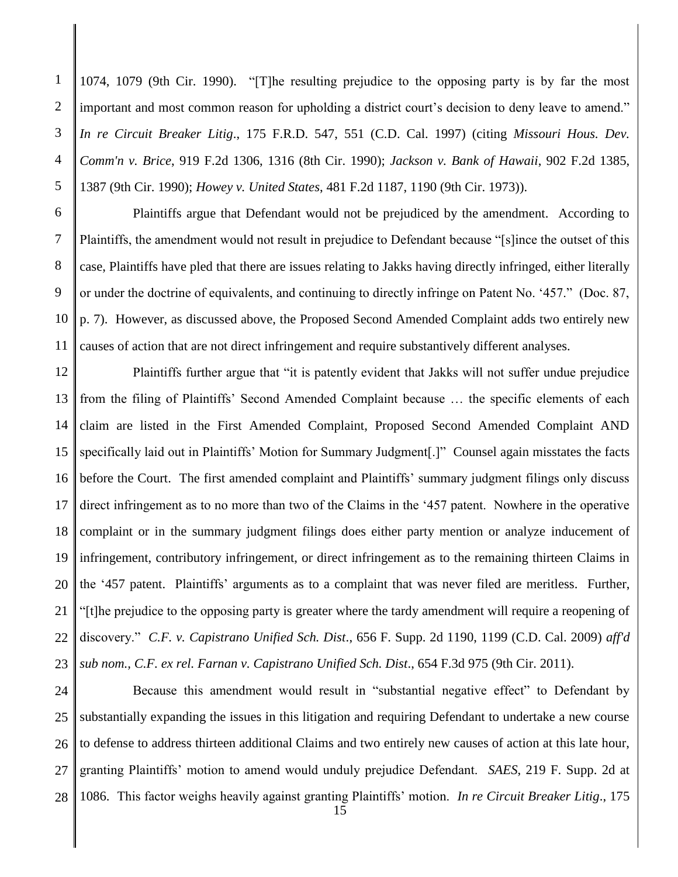1074, 1079 (9th Cir. 1990). "[T]he resulting prejudice to the opposing party is by far the most important and most common reason for upholding a district court's decision to deny leave to amend." *In re Circuit Breaker Litig*., 175 F.R.D. 547, 551 (C.D. Cal. 1997) (citing *Missouri Hous. Dev. Comm'n v. Brice*, 919 F.2d 1306, 1316 (8th Cir. 1990); *Jackson v. Bank of Hawaii*, 902 F.2d 1385, 1387 (9th Cir. 1990); *Howey v. United States*, 481 F.2d 1187, 1190 (9th Cir. 1973)).

10 11 Plaintiffs argue that Defendant would not be prejudiced by the amendment. According to Plaintiffs, the amendment would not result in prejudice to Defendant because "[s]ince the outset of this case, Plaintiffs have pled that there are issues relating to Jakks having directly infringed, either literally or under the doctrine of equivalents, and continuing to directly infringe on Patent No. '457." (Doc. 87, p. 7). However, as discussed above, the Proposed Second Amended Complaint adds two entirely new causes of action that are not direct infringement and require substantively different analyses.

12 13 14 15 16 17 18 19 20 21 22 23 Plaintiffs further argue that "it is patently evident that Jakks will not suffer undue prejudice from the filing of Plaintiffs' Second Amended Complaint because … the specific elements of each claim are listed in the First Amended Complaint, Proposed Second Amended Complaint AND specifically laid out in Plaintiffs' Motion for Summary Judgment[.]" Counsel again misstates the facts before the Court. The first amended complaint and Plaintiffs' summary judgment filings only discuss direct infringement as to no more than two of the Claims in the '457 patent. Nowhere in the operative complaint or in the summary judgment filings does either party mention or analyze inducement of infringement, contributory infringement, or direct infringement as to the remaining thirteen Claims in the '457 patent. Plaintiffs' arguments as to a complaint that was never filed are meritless. Further, "[t]he prejudice to the opposing party is greater where the tardy amendment will require a reopening of discovery." *C.F. v. Capistrano Unified Sch. Dist*., 656 F. Supp. 2d 1190, 1199 (C.D. Cal. 2009) *aff'd sub nom., C.F. ex rel. Farnan v. Capistrano Unified Sch. Dist*., 654 F.3d 975 (9th Cir. 2011).

24 25 26 27 28 Because this amendment would result in "substantial negative effect" to Defendant by substantially expanding the issues in this litigation and requiring Defendant to undertake a new course to defense to address thirteen additional Claims and two entirely new causes of action at this late hour, granting Plaintiffs' motion to amend would unduly prejudice Defendant. *SAES*, 219 F. Supp. 2d at 1086. This factor weighs heavily against granting Plaintiffs' motion. *In re Circuit Breaker Litig*., 175

1

2

3

4

5

6

7

8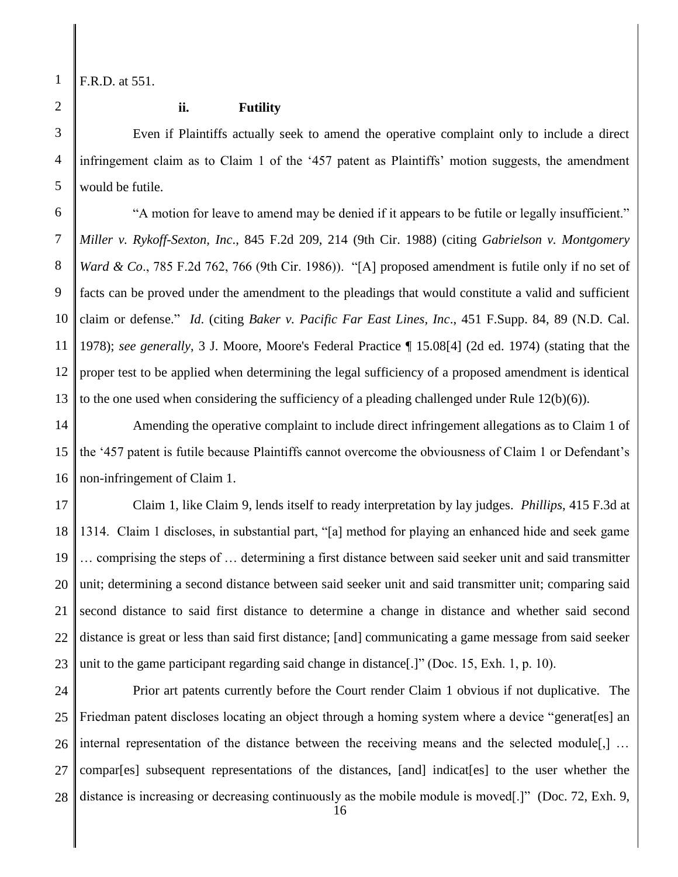F.R.D. at 551.

1

2

3

4

# **ii. Futility**

Even if Plaintiffs actually seek to amend the operative complaint only to include a direct infringement claim as to Claim 1 of the '457 patent as Plaintiffs' motion suggests, the amendment would be futile.

6 7 8 9 10 11 12 13 "A motion for leave to amend may be denied if it appears to be futile or legally insufficient." *Miller v. Rykoff-Sexton, Inc*., 845 F.2d 209, 214 (9th Cir. 1988) (citing *Gabrielson v. Montgomery Ward & Co.*, 785 F.2d 762, 766 (9th Cir. 1986)). "[A] proposed amendment is futile only if no set of facts can be proved under the amendment to the pleadings that would constitute a valid and sufficient claim or defense." *Id*. (citing *Baker v. Pacific Far East Lines, Inc*., 451 F.Supp. 84, 89 (N.D. Cal. 1978); *see generally*, 3 J. Moore, Moore's Federal Practice ¶ 15.08[4] (2d ed. 1974) (stating that the proper test to be applied when determining the legal sufficiency of a proposed amendment is identical to the one used when considering the sufficiency of a pleading challenged under Rule  $12(b)(6)$ .

Amending the operative complaint to include direct infringement allegations as to Claim 1 of the '457 patent is futile because Plaintiffs cannot overcome the obviousness of Claim 1 or Defendant's non-infringement of Claim 1.

17 18 19 20 21 22 23 Claim 1, like Claim 9, lends itself to ready interpretation by lay judges. *Phillips*, 415 F.3d at 1314. Claim 1 discloses, in substantial part, "[a] method for playing an enhanced hide and seek game … comprising the steps of … determining a first distance between said seeker unit and said transmitter unit; determining a second distance between said seeker unit and said transmitter unit; comparing said second distance to said first distance to determine a change in distance and whether said second distance is great or less than said first distance; [and] communicating a game message from said seeker unit to the game participant regarding said change in distance[.]" (Doc. 15, Exh. 1, p. 10).

24 25 26 27 28 Prior art patents currently before the Court render Claim 1 obvious if not duplicative. The Friedman patent discloses locating an object through a homing system where a device "generat[es] an internal representation of the distance between the receiving means and the selected module[,] … compar[es] subsequent representations of the distances, [and] indicat[es] to the user whether the distance is increasing or decreasing continuously as the mobile module is moved[.]" (Doc. 72, Exh. 9,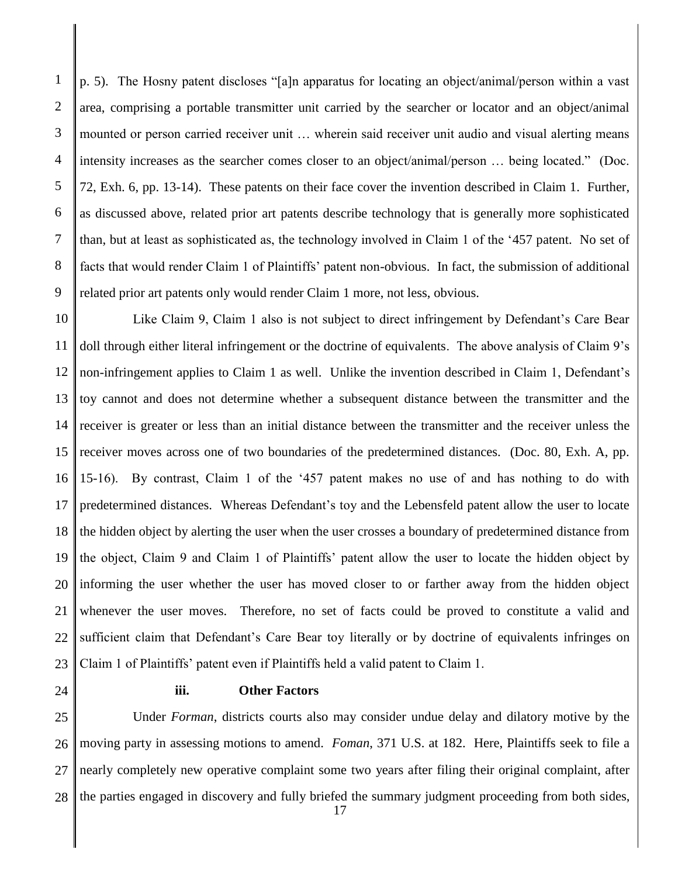2 3 4 5 6 7 8 9 p. 5). The Hosny patent discloses "[a]n apparatus for locating an object/animal/person within a vast area, comprising a portable transmitter unit carried by the searcher or locator and an object/animal mounted or person carried receiver unit … wherein said receiver unit audio and visual alerting means intensity increases as the searcher comes closer to an object/animal/person … being located." (Doc. 72, Exh. 6, pp. 13-14). These patents on their face cover the invention described in Claim 1. Further, as discussed above, related prior art patents describe technology that is generally more sophisticated than, but at least as sophisticated as, the technology involved in Claim 1 of the '457 patent. No set of facts that would render Claim 1 of Plaintiffs' patent non-obvious. In fact, the submission of additional related prior art patents only would render Claim 1 more, not less, obvious.

10 11 12 13 14 15 16 17 18 19 20 21 22 23 Like Claim 9, Claim 1 also is not subject to direct infringement by Defendant's Care Bear doll through either literal infringement or the doctrine of equivalents. The above analysis of Claim 9's non-infringement applies to Claim 1 as well. Unlike the invention described in Claim 1, Defendant's toy cannot and does not determine whether a subsequent distance between the transmitter and the receiver is greater or less than an initial distance between the transmitter and the receiver unless the receiver moves across one of two boundaries of the predetermined distances. (Doc. 80, Exh. A, pp. 15-16). By contrast, Claim 1 of the '457 patent makes no use of and has nothing to do with predetermined distances. Whereas Defendant's toy and the Lebensfeld patent allow the user to locate the hidden object by alerting the user when the user crosses a boundary of predetermined distance from the object, Claim 9 and Claim 1 of Plaintiffs' patent allow the user to locate the hidden object by informing the user whether the user has moved closer to or farther away from the hidden object whenever the user moves. Therefore, no set of facts could be proved to constitute a valid and sufficient claim that Defendant's Care Bear toy literally or by doctrine of equivalents infringes on Claim 1 of Plaintiffs' patent even if Plaintiffs held a valid patent to Claim 1.

24

1

# **iii. Other Factors**

25 26 27 28 Under *Forman*, districts courts also may consider undue delay and dilatory motive by the moving party in assessing motions to amend. *Foman*, 371 U.S. at 182. Here, Plaintiffs seek to file a nearly completely new operative complaint some two years after filing their original complaint, after the parties engaged in discovery and fully briefed the summary judgment proceeding from both sides,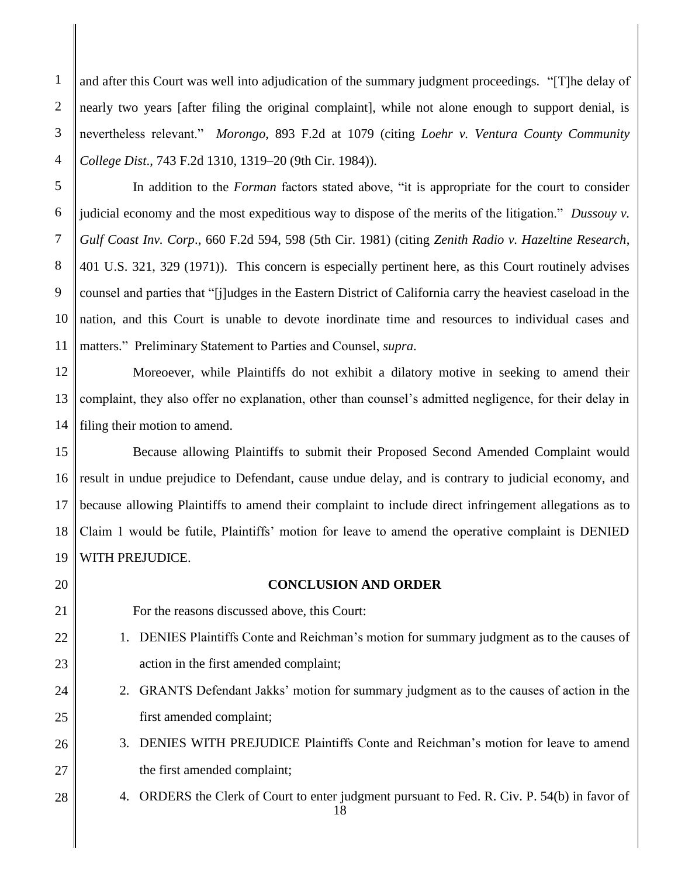and after this Court was well into adjudication of the summary judgment proceedings. "[T]he delay of nearly two years [after filing the original complaint], while not alone enough to support denial, is nevertheless relevant." *Morongo*, 893 F.2d at 1079 (citing *Loehr v. Ventura County Community College Dist*., 743 F.2d 1310, 1319–20 (9th Cir. 1984)).

10 11 In addition to the *Forman* factors stated above, "it is appropriate for the court to consider judicial economy and the most expeditious way to dispose of the merits of the litigation." *Dussouy v. Gulf Coast Inv. Corp*., 660 F.2d 594, 598 (5th Cir. 1981) (citing *Zenith Radio v. Hazeltine Research*, 401 U.S. 321, 329 (1971)). This concern is especially pertinent here, as this Court routinely advises counsel and parties that "[j]udges in the Eastern District of California carry the heaviest caseload in the nation, and this Court is unable to devote inordinate time and resources to individual cases and matters." Preliminary Statement to Parties and Counsel, *supra*.

12 13 14 Moreoever, while Plaintiffs do not exhibit a dilatory motive in seeking to amend their complaint, they also offer no explanation, other than counsel's admitted negligence, for their delay in filing their motion to amend.

15 16 17 18 19 Because allowing Plaintiffs to submit their Proposed Second Amended Complaint would result in undue prejudice to Defendant, cause undue delay, and is contrary to judicial economy, and because allowing Plaintiffs to amend their complaint to include direct infringement allegations as to Claim 1 would be futile, Plaintiffs' motion for leave to amend the operative complaint is DENIED WITH PREJUDICE.

20 21

22

23

24

25

28

1

2

3

4

5

6

7

8

9

# **CONCLUSION AND ORDER**

- For the reasons discussed above, this Court:
- 1. DENIES Plaintiffs Conte and Reichman's motion for summary judgment as to the causes of action in the first amended complaint;
	- 2. GRANTS Defendant Jakks' motion for summary judgment as to the causes of action in the first amended complaint;
- 26 27 3. DENIES WITH PREJUDICE Plaintiffs Conte and Reichman's motion for leave to amend the first amended complaint;
	- 4. ORDERS the Clerk of Court to enter judgment pursuant to Fed. R. Civ. P. 54(b) in favor of